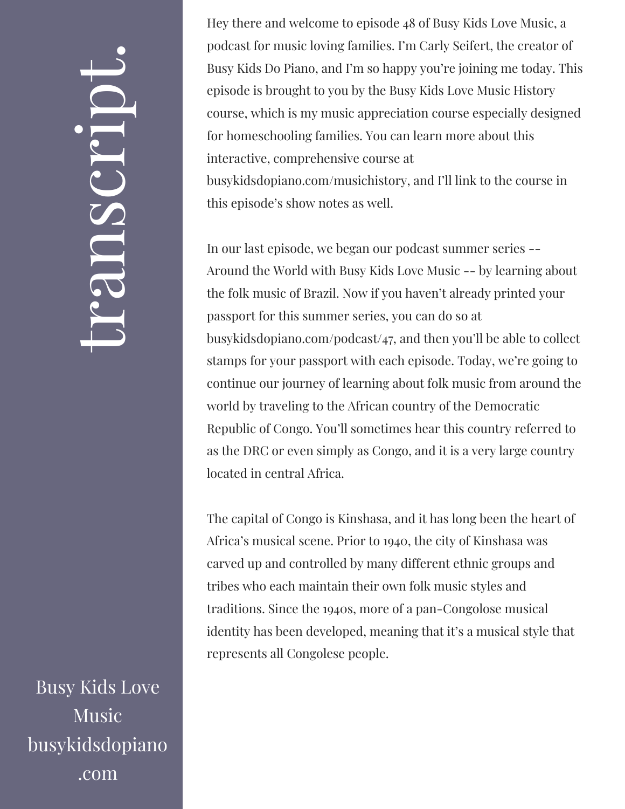## $\leftarrow$ ra<br>S n $\boldsymbol{C}$  $\bigcup$ r $\bullet$   $\overline{\phantom{1}}$  $\boxed{\phantom{1}}$  $\overline{\phantom{a}}$  $\bullet$

Busy Kids Love Music busykidsdopiano .com

Hey there and welcome to episode 48 of Busy Kids Love Music, a podcast for music loving families. I'm Carly Seifert, the creator of Busy Kids Do Piano, and I'm so happy you're joining me today. This episode is brought to you by the Busy Kids Love Music History course, which is my music appreciation course especially designed for homeschooling families. You can learn more about this interactive, comprehensive course at busykidsdopiano.com/musichistory, and I'll link to the course in this episode's show notes as well.

In our last episode, we began our podcast summer series -- Around the World with Busy Kids Love Music -- by learning about the folk music of Brazil. Now if you haven't already printed your passport for this summer series, you can do so at busykidsdopiano.com/podcast/47, and then you'll be able to collect stamps for your passport with each episode. Today, we're going to continue our journey of learning about folk music from around the world by traveling to the African country of the Democratic Republic of Congo. You'll sometimes hear this country referred to as the DRC or even simply as Congo, and it is a very large country located in central Africa.

The capital of Congo is Kinshasa, and it has long been the heart of Africa's musical scene. Prior to 1940, the city of Kinshasa was carved up and controlled by many different ethnic groups and tribes who each maintain their own folk music styles and traditions. Since the 1940s, more of a pan-Congolose musical identity has been developed, meaning that it's a musical style that represents all Congolese people.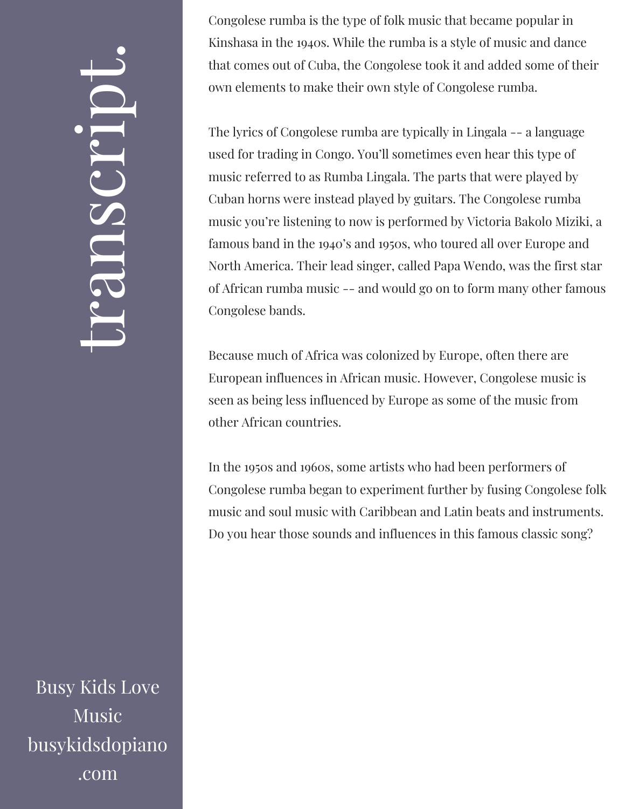## $\leftarrow$ ra<br>S n $\boldsymbol{C}$  $\bigcup$ r $\bullet$   $\overline{\phantom{1}}$  $\boxed{\phantom{1}}$  $\overline{\phantom{a}}$  $\bullet$

Busy Kids Love Music busykidsdopiano .com

Congolese rumba is the type of folk music that became popular in Kinshasa in the 1940s. While the rumba is a style of music and dance that comes out of Cuba, the Congolese took it and added some of their own elements to make their own style of Congolese rumba.

The lyrics of Congolese rumba are typically in Lingala -- a language used for trading in Congo. You'll sometimes even hear this type of music referred to as Rumba Lingala. The parts that were played by Cuban horns were instead played by guitars. The Congolese rumba music you're listening to now is performed by Victoria Bakolo Miziki, a famous band in the 1940's and 1950s, who toured all over Europe and North America. Their lead singer, called Papa Wendo, was the first star of African rumba music -- and would go on to form many other famous Congolese bands.

Because much of Africa was colonized by Europe, often there are European influences in African music. However, Congolese music is seen as being less influenced by Europe as some of the music from other African countries.

In the 1950s and 1960s, some artists who had been performers of Congolese rumba began to experiment further by fusing Congolese folk music and soul music with Caribbean and Latin beats and instruments. Do you hear those sounds and influences in this famous classic song?